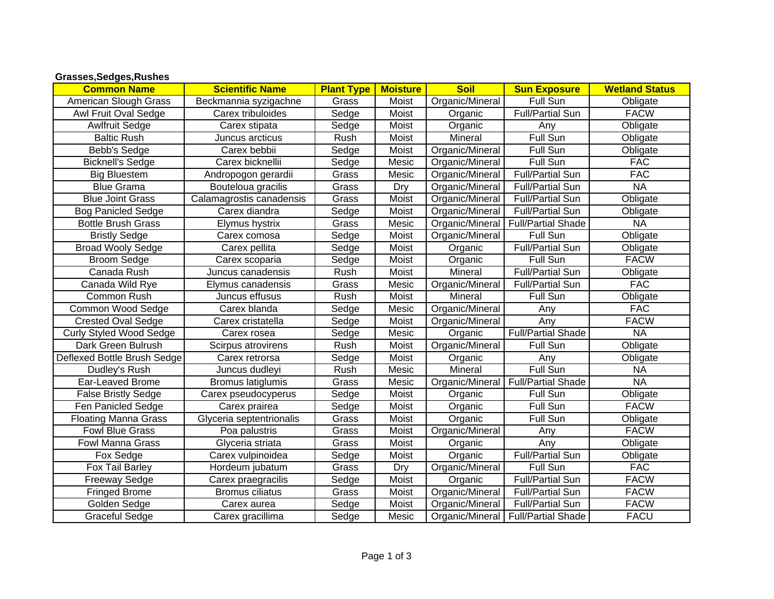## **Grasses,Sedges,Rushes**

| <b>Common Name</b>             | <b>Scientific Name</b>   | <b>Plant Type</b> | <b>Moisture</b> | <b>Soil</b>     | <b>Sun Exposure</b>                  | <b>Wetland Status</b> |
|--------------------------------|--------------------------|-------------------|-----------------|-----------------|--------------------------------------|-----------------------|
| American Slough Grass          | Beckmannia syzigachne    | Grass             | Moist           | Organic/Mineral | Full Sun                             | Obligate              |
| Awl Fruit Oval Sedge           | Carex tribuloides        | Sedge             | Moist           | Organic         | <b>Full/Partial Sun</b>              | <b>FACW</b>           |
| <b>Awlfruit Sedge</b>          | Carex stipata            | Sedge             | Moist           | Organic         | Any                                  | Obligate              |
| <b>Baltic Rush</b>             | Juncus arcticus          | Rush              | Moist           | Mineral         | Full Sun                             | Obligate              |
| Bebb's Sedge                   | Carex bebbii             | Sedge             | Moist           | Organic/Mineral | Full Sun                             | Obligate              |
| <b>Bicknell's Sedge</b>        | Carex bicknellii         | Sedge             | Mesic           | Organic/Mineral | Full Sun                             | <b>FAC</b>            |
| <b>Big Bluestem</b>            | Andropogon gerardii      | Grass             | Mesic           | Organic/Mineral | <b>Full/Partial Sun</b>              | <b>FAC</b>            |
| <b>Blue Grama</b>              | Bouteloua gracilis       | Grass             | Dry             | Organic/Mineral | <b>Full/Partial Sun</b>              | <b>NA</b>             |
| <b>Blue Joint Grass</b>        | Calamagrostis canadensis | Grass             | Moist           | Organic/Mineral | <b>Full/Partial Sun</b>              | Obligate              |
| <b>Bog Panicled Sedge</b>      | Carex diandra            | Sedge             | Moist           | Organic/Mineral | <b>Full/Partial Sun</b>              | Obligate              |
| <b>Bottle Brush Grass</b>      | Elymus hystrix           | Grass             | Mesic           | Organic/Mineral | <b>Full/Partial Shade</b>            | <b>NA</b>             |
| <b>Bristly Sedge</b>           | Carex comosa             | Sedge             | Moist           | Organic/Mineral | Full Sun                             | Obligate              |
| <b>Broad Wooly Sedge</b>       | Carex pellita            | Sedge             | Moist           | Organic         | Full/Partial Sun                     | Obligate              |
| <b>Broom Sedge</b>             | Carex scoparia           | Sedge             | Moist           | Organic         | Full Sun                             | <b>FACW</b>           |
| Canada Rush                    | Juncus canadensis        | Rush              | Moist           | Mineral         | Full/Partial Sun                     | Obligate              |
| Canada Wild Rye                | Elymus canadensis        | Grass             | Mesic           | Organic/Mineral | <b>Full/Partial Sun</b>              | <b>FAC</b>            |
| Common Rush                    | Juncus effusus           | Rush              | Moist           | Mineral         | Full Sun                             | Obligate              |
| Common Wood Sedge              | Carex blanda             | Sedge             | Mesic           | Organic/Mineral | Any                                  | <b>FAC</b>            |
| <b>Crested Oval Sedge</b>      | Carex cristatella        | Sedge             | Moist           | Organic/Mineral | Any                                  | <b>FACW</b>           |
| <b>Curly Styled Wood Sedge</b> | Carex rosea              | Sedge             | Mesic           | Organic         | <b>Full/Partial Shade</b>            | <b>NA</b>             |
| Dark Green Bulrush             | Scirpus atrovirens       | Rush              | Moist           | Organic/Mineral | Full Sun                             | Obligate              |
| Deflexed Bottle Brush Sedge    | Carex retrorsa           | Sedge             | Moist           | Organic         | Any                                  | Obligate              |
| Dudley's Rush                  | Juncus dudleyi           | Rush              | Mesic           | Mineral         | Full Sun                             | <b>NA</b>             |
| Ear-Leaved Brome               | Bromus latiglumis        | Grass             | Mesic           |                 | Organic/Mineral   Full/Partial Shade | <b>NA</b>             |
| <b>False Bristly Sedge</b>     | Carex pseudocyperus      | Sedge             | Moist           | Organic         | Full Sun                             | Obligate              |
| Fen Panicled Sedge             | Carex prairea            | Sedge             | Moist           | Organic         | Full Sun                             | <b>FACW</b>           |
| <b>Floating Manna Grass</b>    | Glyceria septentrionalis | Grass             | Moist           | Organic         | Full Sun                             | Obligate              |
| <b>Fowl Blue Grass</b>         | Poa palustris            | Grass             | Moist           | Organic/Mineral | Any                                  | <b>FACW</b>           |
| Fowl Manna Grass               | Glyceria striata         | Grass             | Moist           | Organic         | Any                                  | Obligate              |
| Fox Sedge                      | Carex vulpinoidea        | Sedge             | Moist           | Organic         | <b>Full/Partial Sun</b>              | Obligate              |
| Fox Tail Barley                | Hordeum jubatum          | Grass             | Dry             | Organic/Mineral | Full Sun                             | <b>FAC</b>            |
| <b>Freeway Sedge</b>           | Carex praegracilis       | Sedge             | Moist           | Organic         | <b>Full/Partial Sun</b>              | <b>FACW</b>           |
| <b>Fringed Brome</b>           | <b>Bromus ciliatus</b>   | Grass             | Moist           | Organic/Mineral | <b>Full/Partial Sun</b>              | <b>FACW</b>           |
| Golden Sedge                   | Carex aurea              | Sedge             | Moist           | Organic/Mineral | Full/Partial Sun                     | <b>FACW</b>           |
| <b>Graceful Sedge</b>          | Carex gracillima         | Sedge             | Mesic           |                 | Organic/Mineral   Full/Partial Shade | <b>FACU</b>           |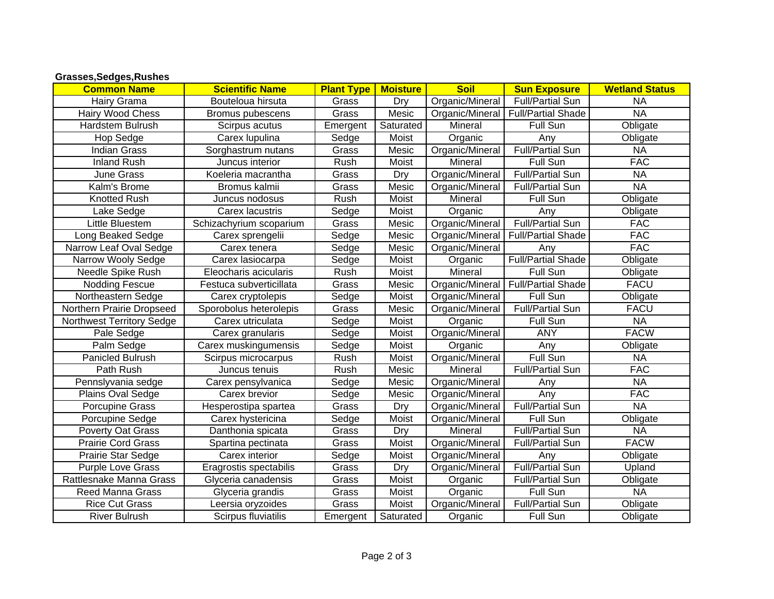| Grasses, Sedges, Rushes |  |
|-------------------------|--|
|-------------------------|--|

| <b>Common Name</b>        | <b>Scientific Name</b>  | <b>Plant Type</b> | <b>Moisture</b> | <b>Soil</b>     | <b>Sun Exposure</b>                  | <b>Wetland Status</b> |
|---------------------------|-------------------------|-------------------|-----------------|-----------------|--------------------------------------|-----------------------|
| Hairy Grama               | Bouteloua hirsuta       | Grass             | Dry             | Organic/Mineral | <b>Full/Partial Sun</b>              | <b>NA</b>             |
| Hairy Wood Chess          | Bromus pubescens        | Grass             | Mesic           |                 | Organic/Mineral   Full/Partial Shade | <b>NA</b>             |
| Hardstem Bulrush          | Scirpus acutus          | Emergent          | Saturated       | Mineral         | Full Sun                             | Obligate              |
| Hop Sedge                 | Carex lupulina          | Sedge             | Moist           | Organic         | Any                                  | Obligate              |
| <b>Indian Grass</b>       | Sorghastrum nutans      | Grass             | Mesic           | Organic/Mineral | <b>Full/Partial Sun</b>              | <b>NA</b>             |
| <b>Inland Rush</b>        | Juncus interior         | Rush              | Moist           | Mineral         | Full Sun                             | <b>FAC</b>            |
| June Grass                | Koeleria macrantha      | Grass             | Dry             | Organic/Mineral | <b>Full/Partial Sun</b>              | <b>NA</b>             |
| Kalm's Brome              | Bromus kalmii           | Grass             | Mesic           | Organic/Mineral | <b>Full/Partial Sun</b>              | <b>NA</b>             |
| <b>Knotted Rush</b>       | Juncus nodosus          | Rush              | Moist           | Mineral         | Full Sun                             | Obligate              |
| Lake Sedge                | Carex lacustris         | Sedge             | Moist           | Organic         | Any                                  | Obligate              |
| Little Bluestem           | Schizachyrium scoparium | Grass             | Mesic           | Organic/Mineral | Full/Partial Sun                     | <b>FAC</b>            |
| Long Beaked Sedge         | Carex sprengelii        | Sedge             | Mesic           |                 | Organic/Mineral   Full/Partial Shade | <b>FAC</b>            |
| Narrow Leaf Oval Sedge    | Carex tenera            | Sedge             | Mesic           | Organic/Mineral | Any                                  | <b>FAC</b>            |
| Narrow Wooly Sedge        | Carex lasiocarpa        | Sedge             | Moist           | Organic         | <b>Full/Partial Shade</b>            | Obligate              |
| Needle Spike Rush         | Eleocharis acicularis   | Rush              | Moist           | Mineral         | Full Sun                             | Obligate              |
| Nodding Fescue            | Festuca subverticillata | Grass             | Mesic           |                 | Organic/Mineral   Full/Partial Shade | <b>FACU</b>           |
| Northeastern Sedge        | Carex cryptolepis       | Sedge             | Moist           | Organic/Mineral | Full Sun                             | Obligate              |
| Northern Prairie Dropseed | Sporobolus heterolepis  | Grass             | Mesic           | Organic/Mineral | <b>Full/Partial Sun</b>              | <b>FACU</b>           |
| Northwest Territory Sedge | Carex utriculata        | Sedge             | Moist           | Organic         | Full Sun                             | <b>NA</b>             |
| Pale Sedge                | Carex granularis        | Sedge             | Moist           | Organic/Mineral | <b>ANY</b>                           | <b>FACW</b>           |
| Palm Sedge                | Carex muskingumensis    | Sedge             | Moist           | Organic         | Any                                  | Obligate              |
| Panicled Bulrush          | Scirpus microcarpus     | Rush              | Moist           | Organic/Mineral | Full Sun                             | <b>NA</b>             |
| Path Rush                 | Juncus tenuis           | Rush              | Mesic           | Mineral         | <b>Full/Partial Sun</b>              | <b>FAC</b>            |
| Pennslyvania sedge        | Carex pensylvanica      | Sedge             | Mesic           | Organic/Mineral | Any                                  | <b>NA</b>             |
| Plains Oval Sedge         | Carex brevior           | Sedge             | Mesic           | Organic/Mineral | Any                                  | <b>FAC</b>            |
| Porcupine Grass           | Hesperostipa spartea    | Grass             | Dry             | Organic/Mineral | Full/Partial Sun                     | <b>NA</b>             |
| Porcupine Sedge           | Carex hystericina       | Sedge             | Moist           | Organic/Mineral | Full Sun                             | Obligate              |
| Poverty Oat Grass         | Danthonia spicata       | Grass             | Dry             | Mineral         | <b>Full/Partial Sun</b>              | <b>NA</b>             |
| <b>Prairie Cord Grass</b> | Spartina pectinata      | Grass             | Moist           | Organic/Mineral | <b>Full/Partial Sun</b>              | <b>FACW</b>           |
| Prairie Star Sedge        | Carex interior          | Sedge             | Moist           | Organic/Mineral | Any                                  | Obligate              |
| <b>Purple Love Grass</b>  | Eragrostis spectabilis  | Grass             | Dry             | Organic/Mineral | <b>Full/Partial Sun</b>              | Upland                |
| Rattlesnake Manna Grass   | Glyceria canadensis     | Grass             | Moist           | Organic         | <b>Full/Partial Sun</b>              | Obligate              |
| <b>Reed Manna Grass</b>   | Glyceria grandis        | Grass             | Moist           | Organic         | Full Sun                             | <b>NA</b>             |
| <b>Rice Cut Grass</b>     | Leersia oryzoides       | Grass             | Moist           | Organic/Mineral | <b>Full/Partial Sun</b>              | Obligate              |
| <b>River Bulrush</b>      | Scirpus fluviatilis     | Emergent          | Saturated       | Organic         | Full Sun                             | Obligate              |